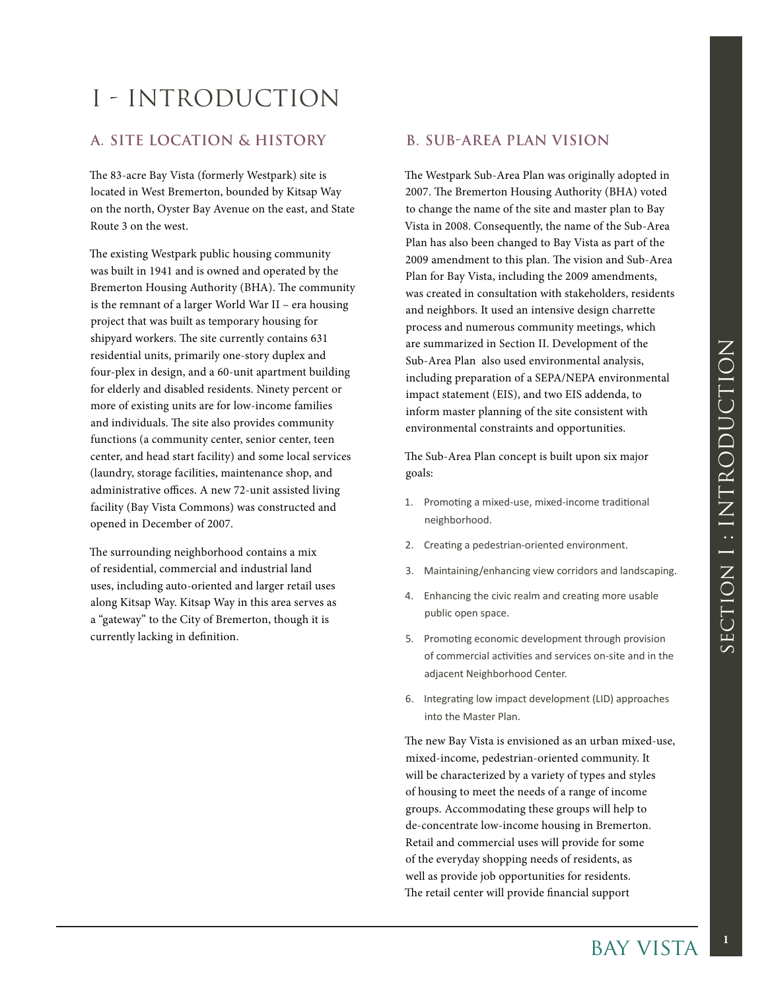## I - INTRODUCTION

## **A. Site Location & History**

The 83-acre Bay Vista (formerly Westpark) site is located in West Bremerton, bounded by Kitsap Way on the north, Oyster Bay Avenue on the east, and State Route 3 on the west.

The existing Westpark public housing community was built in 1941 and is owned and operated by the Bremerton Housing Authority (BHA). The community is the remnant of a larger World War II – era housing project that was built as temporary housing for shipyard workers. The site currently contains 631 residential units, primarily one-story duplex and four-plex in design, and a 60-unit apartment building for elderly and disabled residents. Ninety percent or more of existing units are for low-income families and individuals. The site also provides community functions (a community center, senior center, teen center, and head start facility) and some local services (laundry, storage facilities, maintenance shop, and administrative offices. A new 72-unit assisted living facility (Bay Vista Commons) was constructed and opened in December of 2007.

The surrounding neighborhood contains a mix of residential, commercial and industrial land uses, including auto-oriented and larger retail uses along Kitsap Way. Kitsap Way in this area serves as a "gateway" to the City of Bremerton, though it is currently lacking in definition.

## **B. Sub-Area Plan Vision**

The Westpark Sub-Area Plan was originally adopted in 2007. The Bremerton Housing Authority (BHA) voted to change the name of the site and master plan to Bay Vista in 2008. Consequently, the name of the Sub-Area Plan has also been changed to Bay Vista as part of the 2009 amendment to this plan. The vision and Sub-Area Plan for Bay Vista, including the 2009 amendments, was created in consultation with stakeholders, residents and neighbors. It used an intensive design charrette process and numerous community meetings, which are summarized in Section II. Development of the Sub-Area Plan also used environmental analysis, including preparation of a SEPA/NEPA environmental impact statement (EIS), and two EIS addenda, to inform master planning of the site consistent with environmental constraints and opportunities.

The Sub-Area Plan concept is built upon six major goals:

- 1. Promoting a mixed-use, mixed-income traditional neighborhood.
- 2. Creating a pedestrian-oriented environment.
- 3. Maintaining/enhancing view corridors and landscaping.
- 4. Enhancing the civic realm and creating more usable public open space.
- 5. Promoting economic development through provision of commercial activities and services on-site and in the adjacent Neighborhood Center.
- 6. Integrating low impact development (LID) approaches into the Master Plan.

ment of the<br>tal analysis,<br>A environmental<br>ddenda, to<br>sistent with<br>unities.<br>on six major<br>me traditional<br>on six major<br>ne traditional<br>on six major<br>me traditional<br>on six major<br>me traditional<br>meg more usable<br>promes is and and s The new Bay Vista is envisioned as an urban mixed-use, mixed-income, pedestrian-oriented community. It will be characterized by a variety of types and styles of housing to meet the needs of a range of income groups. Accommodating these groups will help to de-concentrate low-income housing in Bremerton. Retail and commercial uses will provide for some of the everyday shopping needs of residents, as well as provide job opportunities for residents. The retail center will provide financial support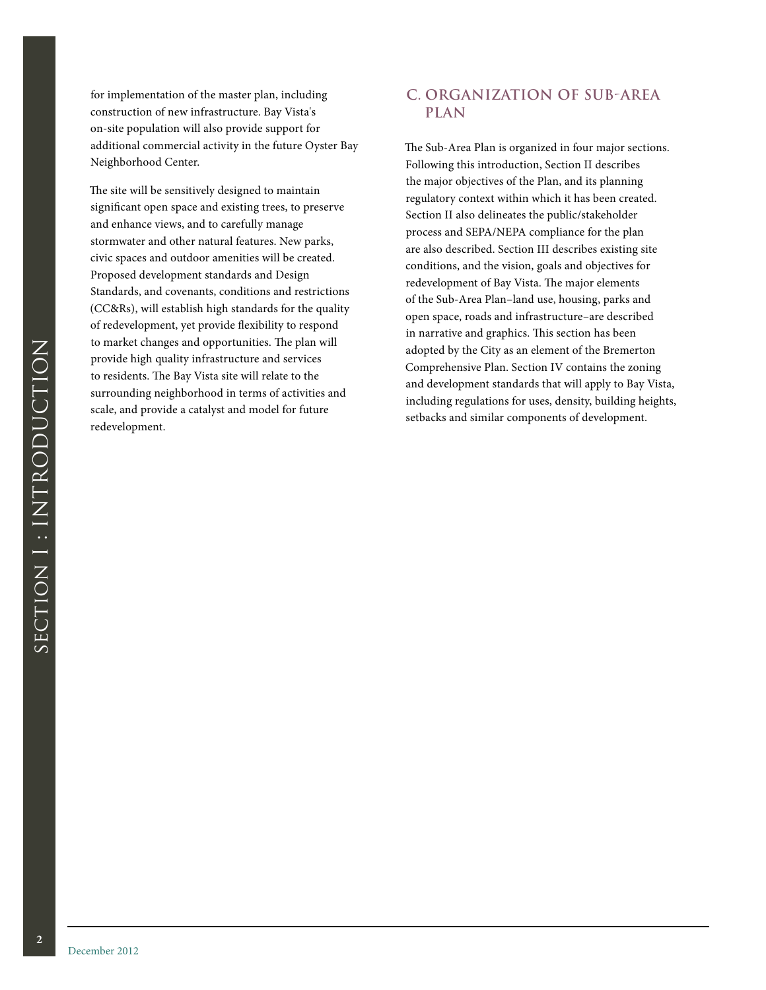for implementation of the master plan, including construction of new infrastructure. Bay Vista's on-site population will also provide support for additional commercial activity in the future Oyster Bay Neighborhood Center.

The site will be sensitively designed to maintain significant open space and existing trees, to preserve and enhance views, and to carefully manage stormwater and other natural features. New parks, civic spaces and outdoor amenities will be created. Proposed development standards and Design Standards, and covenants, conditions and restrictions (CC&Rs), will establish high standards for the quality of redevelopment, yet provide flexibility to respond to market changes and opportunities. The plan will provide high quality infrastructure and services to residents. The Bay Vista site will relate to the surrounding neighborhood in terms of activities and scale, and provide a catalyst and model for future redevelopment.

## **C. Organization of Sub-Area Plan**

The Sub-Area Plan is organized in four major sections. Following this introduction, Section II describes the major objectives of the Plan, and its planning regulatory context within which it has been created. Section II also delineates the public/stakeholder process and SEPA/NEPA compliance for the plan are also described. Section III describes existing site conditions, and the vision, goals and objectives for redevelopment of Bay Vista. The major elements of the Sub-Area Plan–land use, housing, parks and open space, roads and infrastructure–are described in narrative and graphics. This section has been adopted by the City as an element of the Bremerton Comprehensive Plan. Section IV contains the zoning and development standards that will apply to Bay Vista, including regulations for uses, density, building heights, setbacks and similar components of development.